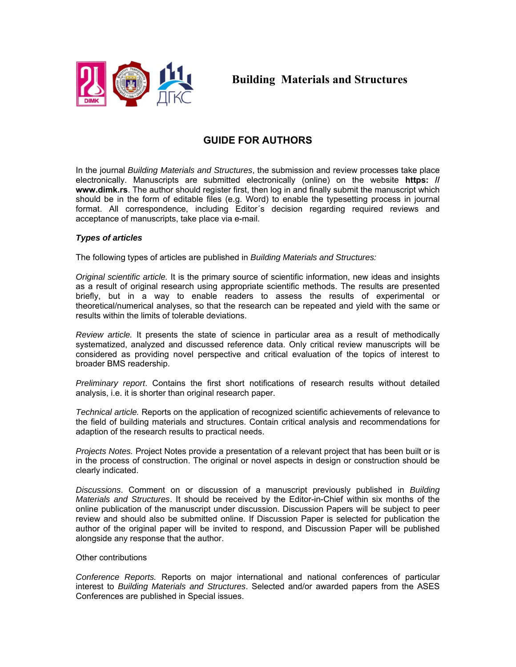

**Building Materials and Structures** 

# **GUIDE FOR AUTHORS**

In the journal *Building Materials and Structures*, the submission and review processes take place electronically. Manuscripts are submitted electronically (online) on the website **https: // www.dimk.rs**. The author should register first, then log in and finally submit the manuscript which should be in the form of editable files (e.g. Word) to enable the typesetting process in journal format. All correspondence, including Editor´s decision regarding required reviews and acceptance of manuscripts, take place via e-mail.

# *Types of articles*

The following types of articles are published in *Building Materials and Structures:* 

*Original scientific article.* It is the primary source of scientific information, new ideas and insights as a result of original research using appropriate scientific methods. The results are presented briefly, but in a way to enable readers to assess the results of experimental or theoretical/numerical analyses, so that the research can be repeated and yield with the same or results within the limits of tolerable deviations.

*Review article.* It presents the state of science in particular area as a result of methodically systematized, analyzed and discussed reference data. Only critical review manuscripts will be considered as providing novel perspective and critical evaluation of the topics of interest to broader BMS readership.

*Preliminary report*. Contains the first short notifications of research results without detailed analysis, i.e. it is shorter than original research paper.

*Technical article.* Reports on the application of recognized scientific achievements of relevance to the field of building materials and structures. Contain critical analysis and recommendations for adaption of the research results to practical needs.

*Projects Notes.* Project Notes provide a presentation of a relevant project that has been built or is in the process of construction. The original or novel aspects in design or construction should be clearly indicated.

*Discussions*. Comment on or discussion of a manuscript previously published in *Building Materials and Structures*. It should be received by the Editor-in-Chief within six months of the online publication of the manuscript under discussion. Discussion Papers will be subject to peer review and should also be submitted online. If Discussion Paper is selected for publication the author of the original paper will be invited to respond, and Discussion Paper will be published alongside any response that the author.

# Other contributions

*Conference Reports.* Reports on major international and national conferences of particular interest to *Building Materials and Structures*. Selected and/or awarded papers from the ASES Conferences are published in Special issues.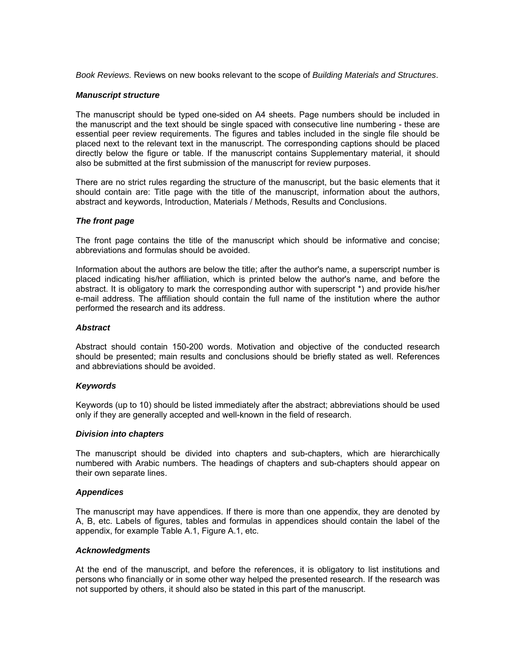*Book Reviews.* Reviews on new books relevant to the scope of *Building Materials and Structures*.

## *Manuscript structure*

The manuscript should be typed one-sided on A4 sheets. Page numbers should be included in the manuscript and the text should be single spaced with consecutive line numbering - these are essential peer review requirements. The figures and tables included in the single file should be placed next to the relevant text in the manuscript. The corresponding captions should be placed directly below the figure or table. If the manuscript contains Supplementary material, it should also be submitted at the first submission of the manuscript for review purposes.

There are no strict rules regarding the structure of the manuscript, but the basic elements that it should contain are: Title page with the title of the manuscript, information about the authors, abstract and keywords, Introduction, Materials / Methods, Results and Conclusions.

## *The front page*

The front page contains the title of the manuscript which should be informative and concise; abbreviations and formulas should be avoided.

Information about the authors are below the title; after the author's name, a superscript number is placed indicating his/her affiliation, which is printed below the author's name, and before the abstract. It is obligatory to mark the corresponding author with superscript \*) and provide his/her e-mail address. The affiliation should contain the full name of the institution where the author performed the research and its address.

## *Abstract*

Abstract should contain 150-200 words. Motivation and objective of the conducted research should be presented; main results and conclusions should be briefly stated as well. References and abbreviations should be avoided.

#### *Keywords*

Keywords (up to 10) should be listed immediately after the abstract; abbreviations should be used only if they are generally accepted and well-known in the field of research.

#### *Division into chapters*

The manuscript should be divided into chapters and sub-chapters, which are hierarchically numbered with Arabic numbers. The headings of chapters and sub-chapters should appear on their own separate lines.

#### *Appendices*

The manuscript may have appendices. If there is more than one appendix, they are denoted by A, B, etc. Labels of figures, tables and formulas in appendices should contain the label of the appendix, for example Table A.1, Figure A.1, etc.

#### *Acknowledgments*

At the end of the manuscript, and before the references, it is obligatory to list institutions and persons who financially or in some other way helped the presented research. If the research was not supported by others, it should also be stated in this part of the manuscript.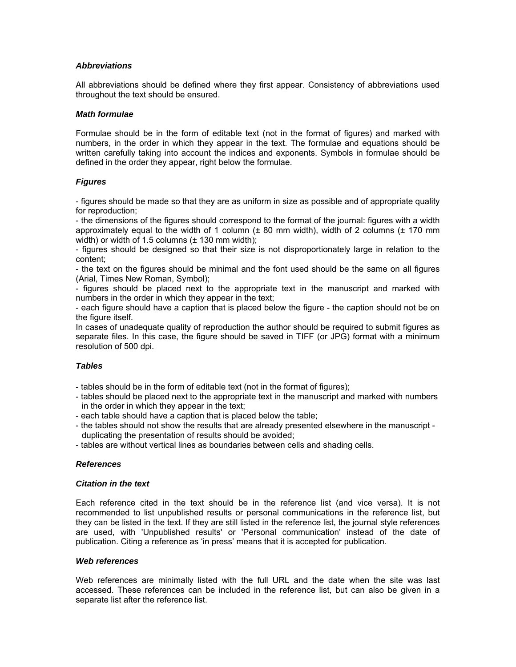# *Abbreviations*

All abbreviations should be defined where they first appear. Consistency of abbreviations used throughout the text should be ensured.

## *Math formulae*

Formulae should be in the form of editable text (not in the format of figures) and marked with numbers, in the order in which they appear in the text. The formulae and equations should be written carefully taking into account the indices and exponents. Symbols in formulae should be defined in the order they appear, right below the formulae.

# *Figures*

- figures should be made so that they are as uniform in size as possible and of appropriate quality for reproduction;

- the dimensions of the figures should correspond to the format of the journal: figures with a width approximately equal to the width of 1 column  $(\pm 80 \text{ mm}$  width), width of 2 columns  $(\pm 170 \text{ mm}$ width) or width of 1.5 columns  $(\pm 130 \text{ mm}$  width);

- figures should be designed so that their size is not disproportionately large in relation to the content;

- the text on the figures should be minimal and the font used should be the same on all figures (Arial, Times New Roman, Symbol);

- figures should be placed next to the appropriate text in the manuscript and marked with numbers in the order in which they appear in the text;

- each figure should have a caption that is placed below the figure - the caption should not be on the figure itself.

In cases of unadequate quality of reproduction the author should be required to submit figures as separate files. In this case, the figure should be saved in TIFF (or JPG) format with a minimum resolution of 500 dpi.

# *Tables*

- tables should be in the form of editable text (not in the format of figures);
- tables should be placed next to the appropriate text in the manuscript and marked with numbers in the order in which they appear in the text;
- each table should have a caption that is placed below the table;
- the tables should not show the results that are already presented elsewhere in the manuscript duplicating the presentation of results should be avoided;
- tables are without vertical lines as boundaries between cells and shading cells.

# *References*

#### *Citation in the text*

Each reference cited in the text should be in the reference list (and vice versa). It is not recommended to list unpublished results or personal communications in the reference list, but they can be listed in the text. If they are still listed in the reference list, the journal style references are used, with 'Unpublished results' or 'Personal communication' instead of the date of publication. Citing a reference as 'in press' means that it is accepted for publication.

#### *Web references*

Web references are minimally listed with the full URL and the date when the site was last accessed. These references can be included in the reference list, but can also be given in a separate list after the reference list.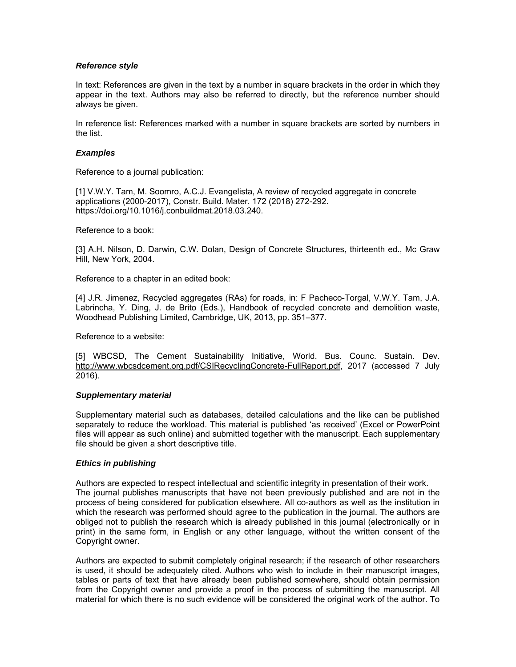# *Reference style*

In text: References are given in the text by a number in square brackets in the order in which they appear in the text. Authors may also be referred to directly, but the reference number should always be given.

In reference list: References marked with a number in square brackets are sorted by numbers in the list.

#### *Examples*

Reference to a journal publication:

[1] V.W.Y. Tam, M. Soomro, A.C.J. Evangelista, A review of recycled aggregate in concrete applications (2000-2017), Constr. Build. Mater. 172 (2018) 272-292. https://doi.org/10.1016/j.conbuildmat.2018.03.240.

Reference to a book:

[3] A.H. Nilson, D. Darwin, C.W. Dolan, Design of Concrete Structures, thirteenth ed., Mc Graw Hill, New York, 2004.

Reference to a chapter in an edited book:

[4] J.R. Jimenez, Recycled aggregates (RAs) for roads, in: F Pacheco-Torgal, V.W.Y. Tam, J.A. Labrincha, Y. Ding, J. de Brito (Eds.), Handbook of recycled concrete and demolition waste, Woodhead Publishing Limited, Cambridge, UK, 2013, pp. 351–377.

Reference to a website:

[5] WBCSD, The Cement Sustainability Initiative, World. Bus. Counc. Sustain. Dev. http://www.wbcsdcement.org.pdf/CSIRecyclingConcrete-FullReport.pdf, 2017 (accessed 7 July 2016).

#### *Supplementary material*

Supplementary material such as databases, detailed calculations and the like can be published separately to reduce the workload. This material is published 'as received' (Excel or PowerPoint files will appear as such online) and submitted together with the manuscript. Each supplementary file should be given a short descriptive title.

# *Ethics in publishing*

Authors are expected to respect intellectual and scientific integrity in presentation of their work. The journal publishes manuscripts that have not been previously published and are not in the process of being considered for publication elsewhere. All co-authors as well as the institution in which the research was performed should agree to the publication in the journal. The authors are obliged not to publish the research which is already published in this journal (electronically or in print) in the same form, in English or any other language, without the written consent of the Copyright owner.

Authors are expected to submit completely original research; if the research of other researchers is used, it should be adequately cited. Authors who wish to include in their manuscript images, tables or parts of text that have already been published somewhere, should obtain permission from the Copyright owner and provide a proof in the process of submitting the manuscript. All material for which there is no such evidence will be considered the original work of the author. To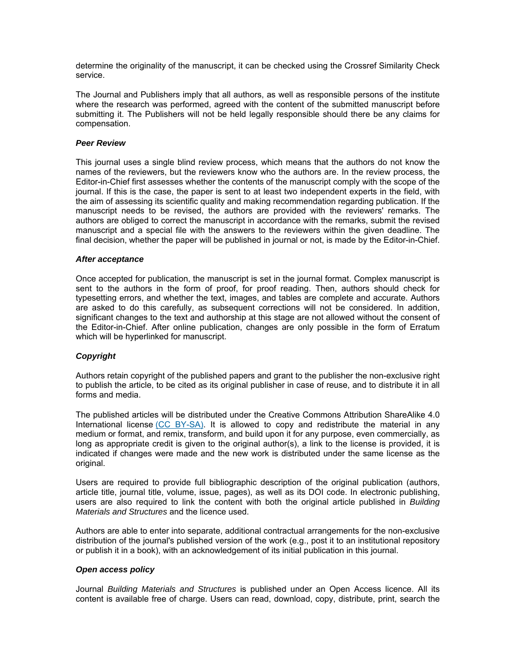determine the originality of the manuscript, it can be checked using the Crossref Similarity Check service.

The Journal and Publishers imply that all authors, as well as responsible persons of the institute where the research was performed, agreed with the content of the submitted manuscript before submitting it. The Publishers will not be held legally responsible should there be any claims for compensation.

## *Peer Review*

This journal uses a single blind review process, which means that the authors do not know the names of the reviewers, but the reviewers know who the authors are. In the review process, the Editor-in-Chief first assesses whether the contents of the manuscript comply with the scope of the journal. If this is the case, the paper is sent to at least two independent experts in the field, with the aim of assessing its scientific quality and making recommendation regarding publication. If the manuscript needs to be revised, the authors are provided with the reviewers' remarks. The authors are obliged to correct the manuscript in accordance with the remarks, submit the revised manuscript and a special file with the answers to the reviewers within the given deadline. The final decision, whether the paper will be published in journal or not, is made by the Editor-in-Chief.

## *After acceptance*

Once accepted for publication, the manuscript is set in the journal format. Complex manuscript is sent to the authors in the form of proof, for proof reading. Then, authors should check for typesetting errors, and whether the text, images, and tables are complete and accurate. Authors are asked to do this carefully, as subsequent corrections will not be considered. In addition, significant changes to the text and authorship at this stage are not allowed without the consent of the Editor-in-Chief. After online publication, changes are only possible in the form of Erratum which will be hyperlinked for manuscript.

# *Copyright*

Authors retain copyright of the published papers and grant to the publisher the non-exclusive right to publish the article, to be cited as its original publisher in case of reuse, and to distribute it in all forms and media.

The published articles will be distributed under the Creative Commons Attribution ShareAlike 4.0 International license (CC BY-SA). It is allowed to copy and redistribute the material in any medium or format, and remix, transform, and build upon it for any purpose, even commercially, as long as appropriate credit is given to the original author(s), a link to the license is provided, it is indicated if changes were made and the new work is distributed under the same license as the original.

Users are required to provide full bibliographic description of the original publication (authors, article title, journal title, volume, issue, pages), as well as its DOI code. In electronic publishing, users are also required to link the content with both the original article published in *Building Materials and Structures* and the licence used.

Authors are able to enter into separate, additional contractual arrangements for the non-exclusive distribution of the journal's published version of the work (e.g., post it to an institutional repository or publish it in a book), with an acknowledgement of its initial publication in this journal.

## *Open access policy*

Journal *Building Materials and Structures* is published under an Open Access licence. All its content is available free of charge. Users can read, download, copy, distribute, print, search the